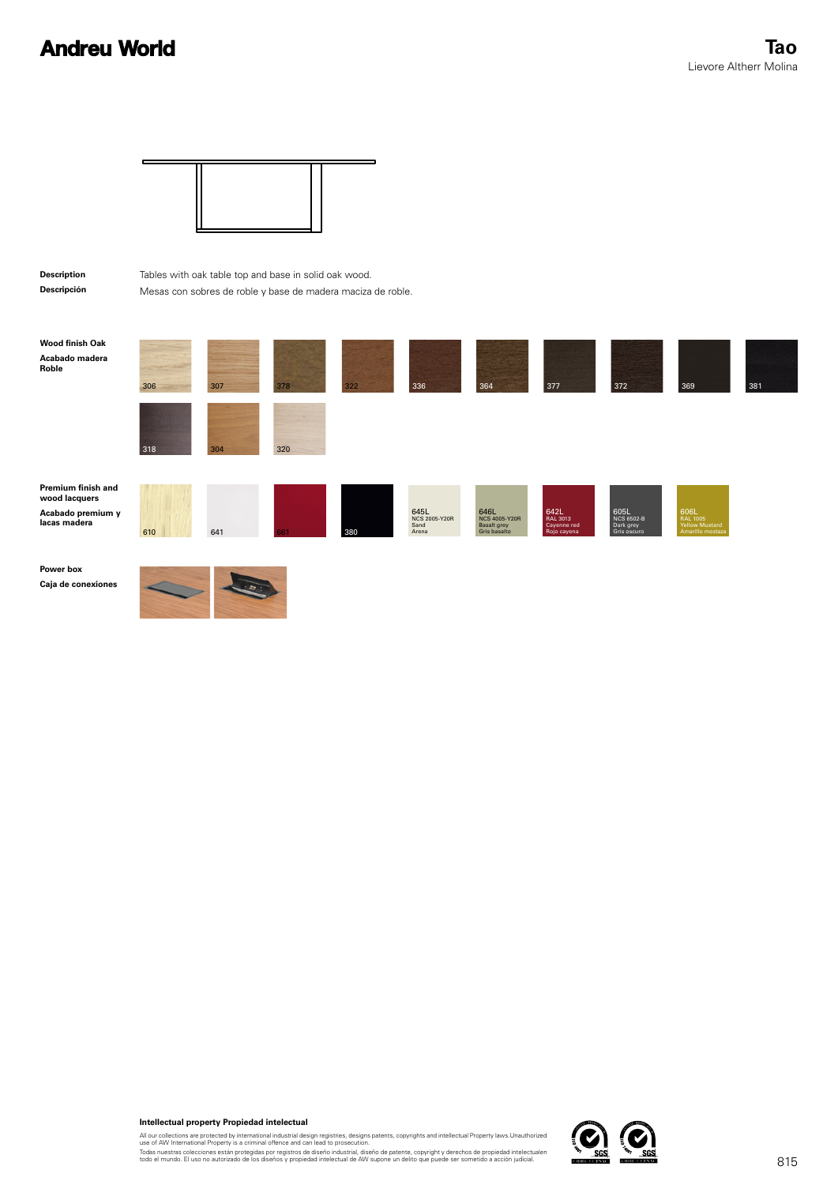

**Intellectual property Propiedad intelectual**

All our collections are protected by international industrial design registries, designs patents, copyrights and intellectual Property laws.Unauthorized<br>Todas nuestras collectiones están protegidas por registros de diseño

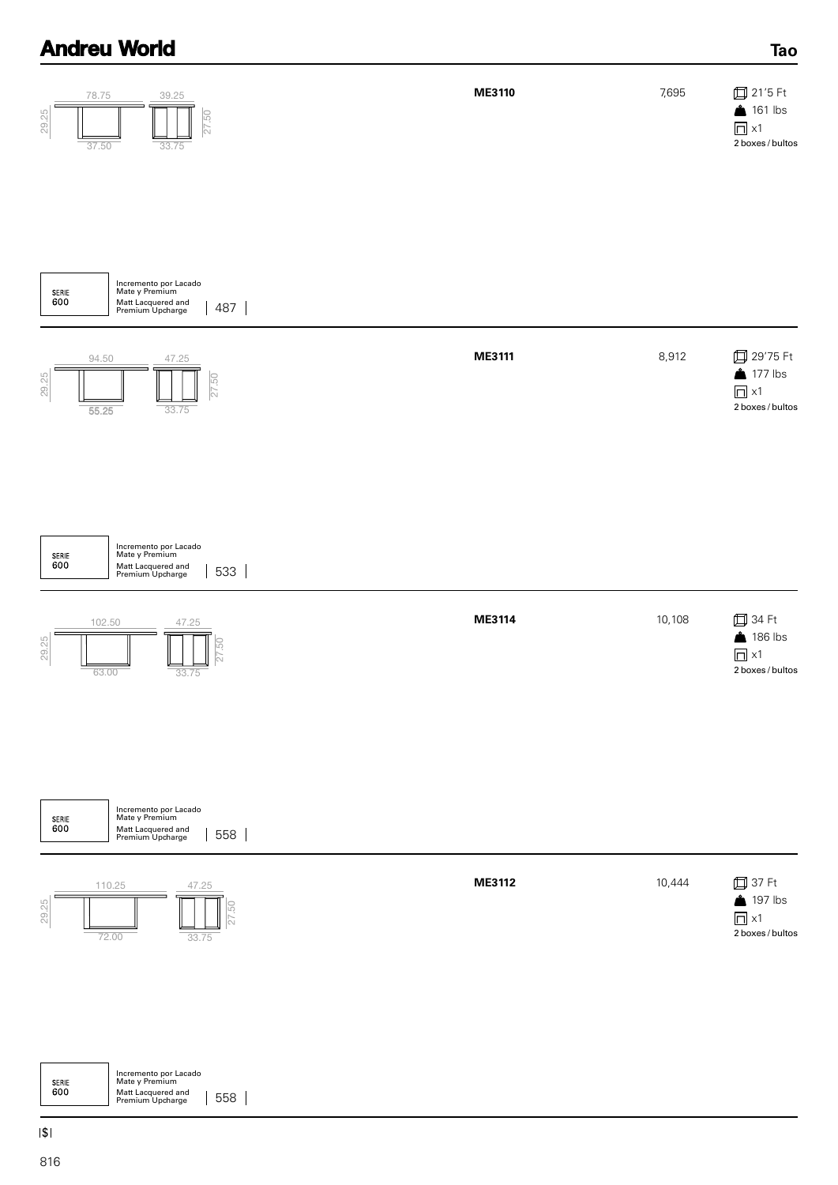| 78.75<br>39.25<br>29.25<br>27.50<br>37.50<br>33.75                                                       | ME3110 | 7,695  | <b>□</b> 21'5 Ft<br>$161$ lbs<br>$\Box$ x1<br>2 boxes / bultos         |
|----------------------------------------------------------------------------------------------------------|--------|--------|------------------------------------------------------------------------|
|                                                                                                          |        |        |                                                                        |
| Incremento por Lacado<br>Mate y Premium<br>SERIE<br>600<br>Matt Lacquered and<br>Premium Upcharge<br>487 |        |        |                                                                        |
| 94.50<br>47.25<br>29.25<br>GJ.<br>$\overline{27}$<br>55.25<br>33.75                                      | ME3111 | 8,912  | 口 29'75 Ft<br>$\bullet$ 177 lbs<br>$\Box$ x1<br>2 boxes / bultos       |
| Incremento por Lacado<br>Mate y Premium<br>SERIE<br>600<br>Matt Lacquered and<br>Premium Upcharge<br>533 |        |        |                                                                        |
| 102.50<br>47.25<br>29.25<br>63.00<br>33.75                                                               | ME3114 | 10,108 | <b>□ 34 Ft</b><br>186 lbs<br>$\Box$ x1<br>2 boxes / bultos             |
| Incremento por Lacado<br>Mate y Premium<br>SERIE<br>600<br>Matt Lacquered and<br>Premium Upcharge<br>558 |        |        |                                                                        |
| 110.25<br>47.25<br>29.25<br>72.00<br>33.75                                                               | ME3112 | 10,444 | <b>□</b> 37 Ft<br>$\triangle$ 197 lbs<br>$\Box$ x1<br>2 boxes / bultos |
|                                                                                                          |        |        |                                                                        |

**Tao**

Incremento por Lacado Mate y Premium SERIE<br>600 Matt Lacquered and Premium Upcharge 558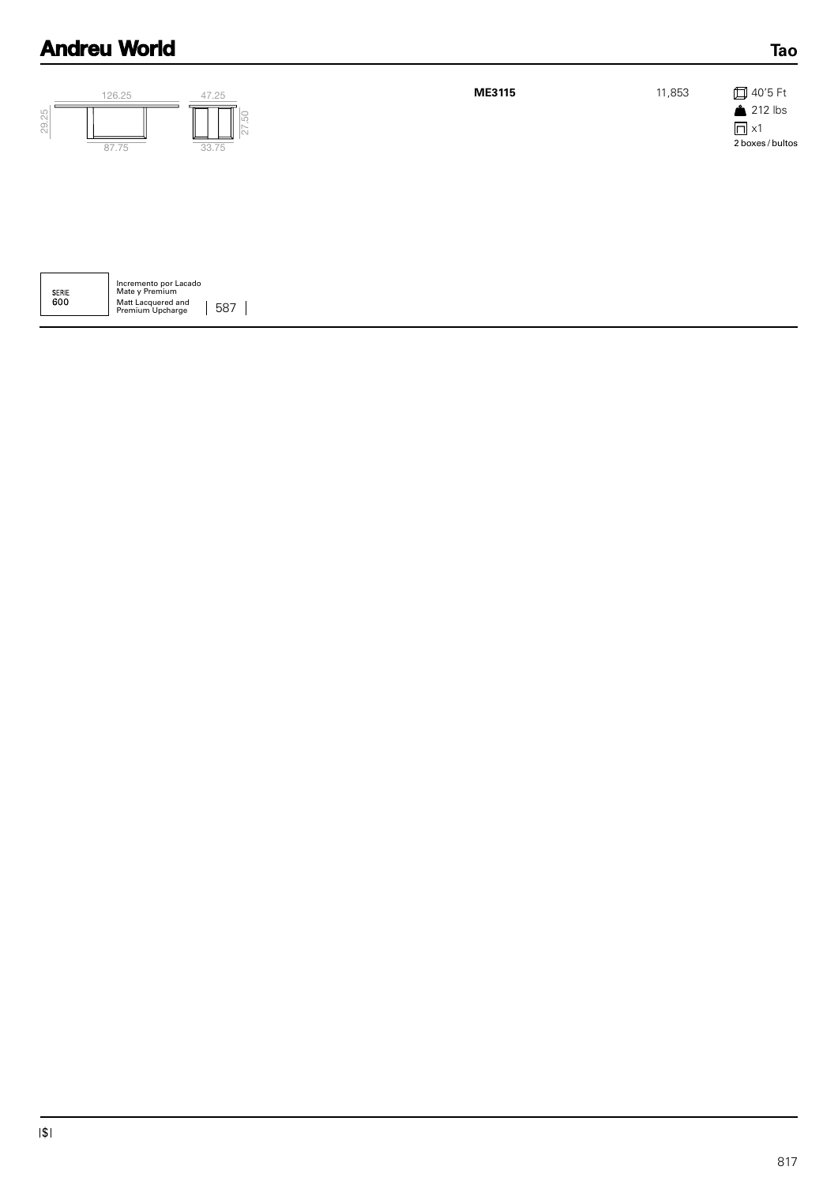| 29.25 | 126.25<br>87.75 | 47.25<br>33.75 | ME3115 | 11,853 | <b>□</b> 40'5 Ft<br>$212$ lbs<br>$\Box$ x1<br>2 boxes / bultos |
|-------|-----------------|----------------|--------|--------|----------------------------------------------------------------|
|       |                 |                |        |        |                                                                |

| <b>SERIE</b><br>റെറ | Incremento por Lacado<br>Mate y Premium |     |
|---------------------|-----------------------------------------|-----|
|                     | Matt Lacquered and<br>Premium Upcharge  | 587 |

**Tao**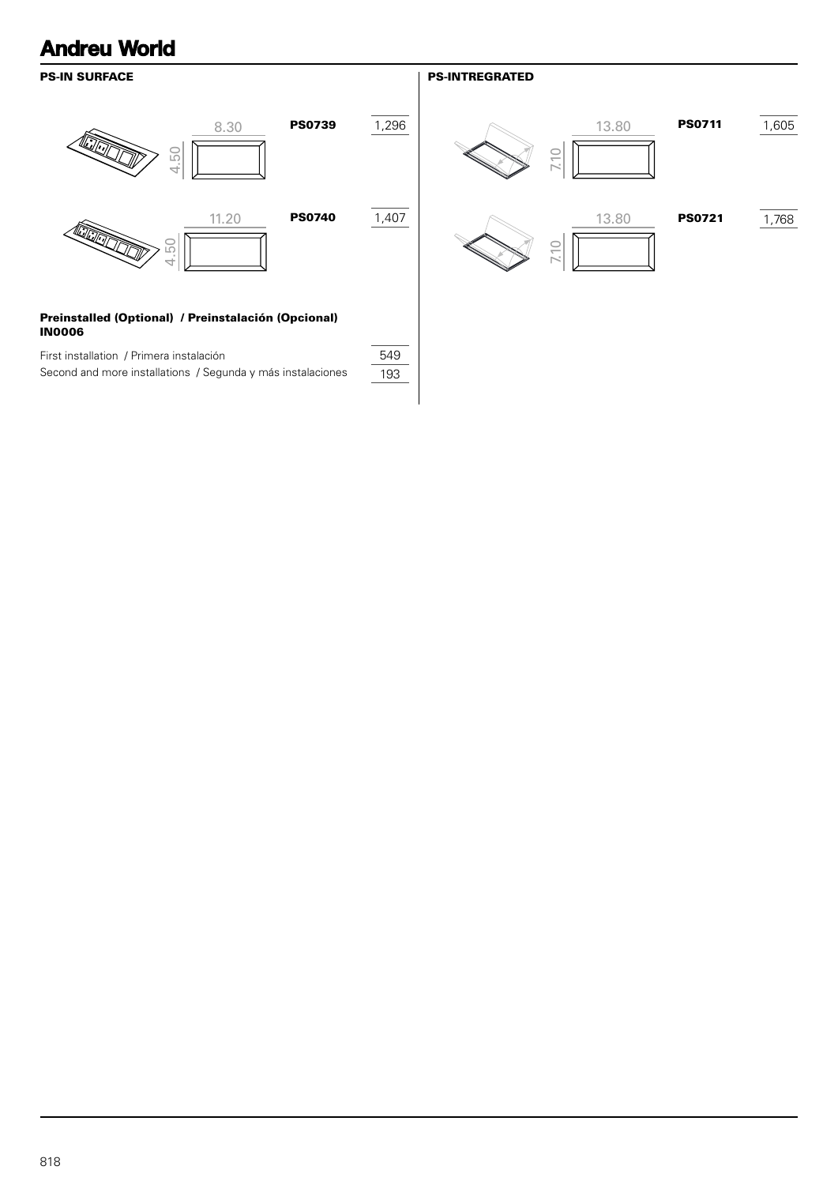# PS-IN SURFACE 8.30 **PS0739** 1,296 4.50 11.20 **PS0740** 1,407 **RANCISCO** 4.50

# Preinstalled (Optional) / Preinstalación (Opcional) IN0006

| First installation / Primera instalación                    | 549 |
|-------------------------------------------------------------|-----|
| Second and more installations / Segunda y más instalaciones | 193 |

# PS-INTREGRATED

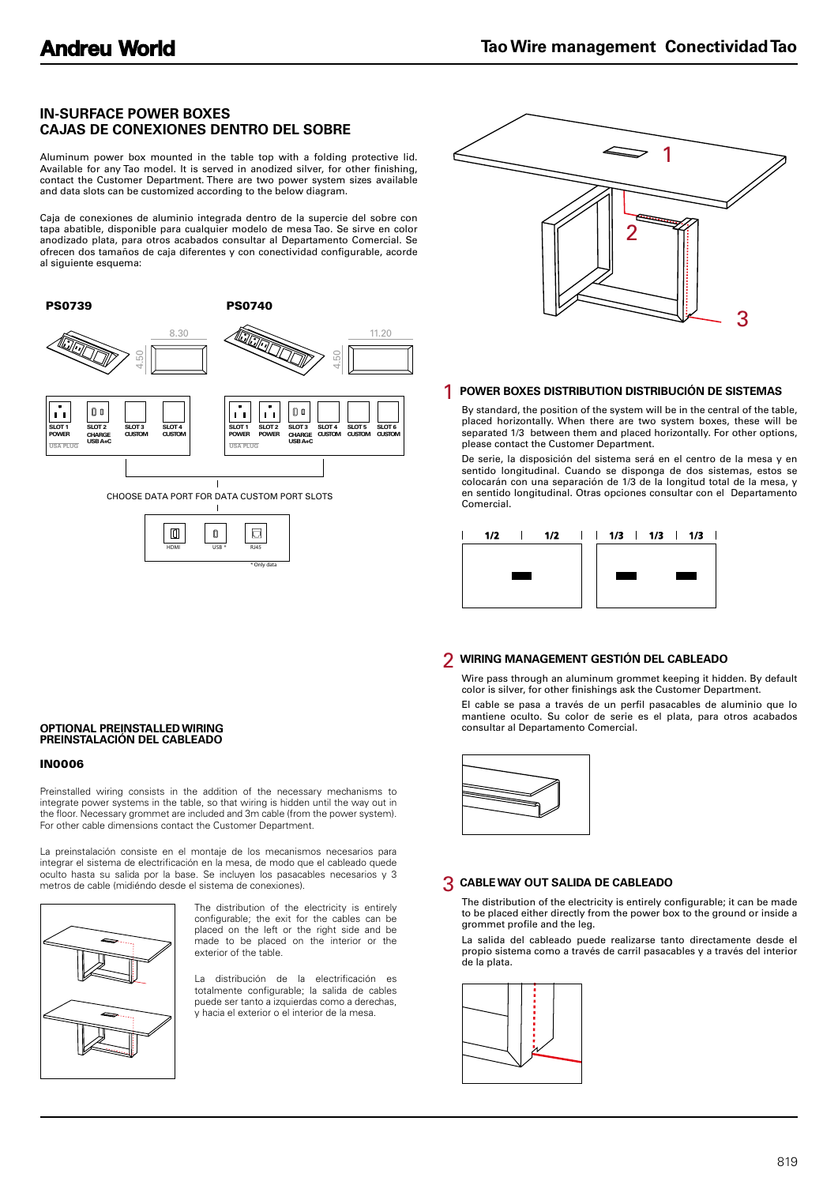# **IN-SURFACE POWER BOXES CAJAS DE CONEXIONES DENTRO DEL SOBRE**

Aluminum power box mounted in the table top with a folding protective lid. Available for any Tao model. It is served in anodized silver, for other finishing, contact the Customer Department. There are two power system sizes available and data slots can be customized according to the below diagram.

Caja de conexiones de aluminio integrada dentro de la supercie del sobre con tapa abatible, disponible para cualquier modelo de mesa Tao. Se sirve en color anodizado plata, para otros acabados consultar al Departamento Comercial. Se ofrecen dos tamaños de caja diferentes y con conectividad configurable, acorde al siguiente esquema:







### 1 **POWER BOXES DISTRIBUTION DISTRIBUCIÓN DE SISTEMAS**

By standard, the position of the system will be in the central of the table, placed horizontally. When there are two system boxes, these will be separated 1/3 between them and placed horizontally. For other options, please contact the Customer Department.

De serie, la disposición del sistema será en el centro de la mesa y en sentido longitudinal. Cuando se disponga de dos sistemas, estos se colocarán con una separación de 1/3 de la longitud total de la mesa, y en sentido longitudinal. Otras opciones consultar con el Departamento Comercial.



### 2 **WIRING MANAGEMENT GESTIÓN DEL CABLEADO**

Wire pass through an aluminum grommet keeping it hidden. By default color is silver, for other finishings ask the Customer Department.

El cable se pasa a través de un perfil pasacables de aluminio que lo mantiene oculto. Su color de serie es el plata, para otros acabados consultar al Departamento Comercial.



#### 3 **CABLE WAY OUT SALIDA DE CABLEADO**

The distribution of the electricity is entirely configurable; it can be made to be placed either directly from the power box to the ground or inside a grommet profile and the leg.

La salida del cableado puede realizarse tanto directamente desde el propio sistema como a través de carril pasacables y a través del interior de la plata.



#### **OPTIONAL PREINSTALLED WIRING PREINSTALACIÓN DEL CABLEADO**

#### IN0006

Preinstalled wiring consists in the addition of the necessary mechanisms to integrate power systems in the table, so that wiring is hidden until the way out in the floor. Necessary grommet are included and 3m cable (from the power system). For other cable dimensions contact the Customer Department.

La preinstalación consiste en el montaje de los mecanismos necesarios para integrar el sistema de electrificación en la mesa, de modo que el cableado quede oculto hasta su salida por la base. Se incluyen los pasacables necesarios y 3 metros de cable (midiéndo desde el sistema de conexiones).



The distribution of the electricity is entirely configurable; the exit for the cables can be placed on the left or the right side and be made to be placed on the interior or the exterior of the table.

distribución de la electrificación es totalmente configurable; la salida de cables puede ser tanto a izquierdas como a derechas, y hacia el exterior o el interior de la mesa.